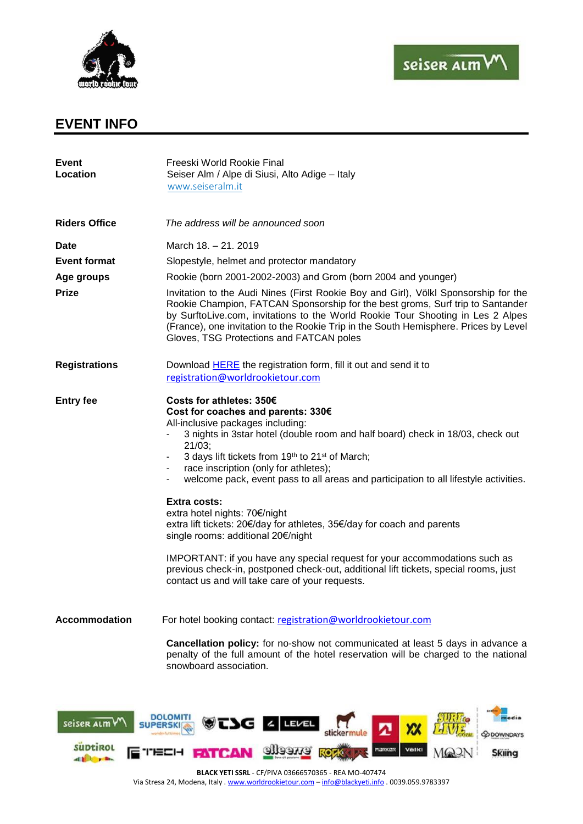



## **EVENT INFO**

different.

| <b>Event</b><br>Location     | Freeski World Rookie Final<br>Seiser Alm / Alpe di Siusi, Alto Adige - Italy<br>www.seiseralm.it                                                                                                                                                                                                                                                                                                                                                                                                                                                                                                                                                                                                                                                                                                                    |
|------------------------------|---------------------------------------------------------------------------------------------------------------------------------------------------------------------------------------------------------------------------------------------------------------------------------------------------------------------------------------------------------------------------------------------------------------------------------------------------------------------------------------------------------------------------------------------------------------------------------------------------------------------------------------------------------------------------------------------------------------------------------------------------------------------------------------------------------------------|
| <b>Riders Office</b>         | The address will be announced soon                                                                                                                                                                                                                                                                                                                                                                                                                                                                                                                                                                                                                                                                                                                                                                                  |
| <b>Date</b>                  | March 18. - 21. 2019                                                                                                                                                                                                                                                                                                                                                                                                                                                                                                                                                                                                                                                                                                                                                                                                |
| <b>Event format</b>          | Slopestyle, helmet and protector mandatory                                                                                                                                                                                                                                                                                                                                                                                                                                                                                                                                                                                                                                                                                                                                                                          |
| Age groups                   | Rookie (born 2001-2002-2003) and Grom (born 2004 and younger)                                                                                                                                                                                                                                                                                                                                                                                                                                                                                                                                                                                                                                                                                                                                                       |
| <b>Prize</b>                 | Invitation to the Audi Nines (First Rookie Boy and Girl), Völkl Sponsorship for the<br>Rookie Champion, FATCAN Sponsorship for the best groms, Surf trip to Santander<br>by SurftoLive.com, invitations to the World Rookie Tour Shooting in Les 2 Alpes<br>(France), one invitation to the Rookie Trip in the South Hemisphere. Prices by Level<br>Gloves, TSG Protections and FATCAN poles                                                                                                                                                                                                                                                                                                                                                                                                                        |
| <b>Registrations</b>         | Download <b>HERE</b> the registration form, fill it out and send it to<br>registration@worldrookietour.com                                                                                                                                                                                                                                                                                                                                                                                                                                                                                                                                                                                                                                                                                                          |
| <b>Entry fee</b>             | Costs for athletes: 350€<br>Cost for coaches and parents: 330€<br>All-inclusive packages including:<br>3 nights in 3star hotel (double room and half board) check in 18/03, check out<br>21/03;<br>3 days lift tickets from 19th to 21 <sup>st</sup> of March;<br>race inscription (only for athletes);<br>welcome pack, event pass to all areas and participation to all lifestyle activities.<br>$\blacksquare$<br><b>Extra costs:</b><br>extra hotel nights: 70€/night<br>extra lift tickets: 20€/day for athletes, 35€/day for coach and parents<br>single rooms: additional 20€/night<br>IMPORTANT: if you have any special request for your accommodations such as<br>previous check-in, postponed check-out, additional lift tickets, special rooms, just<br>contact us and will take care of your requests. |
| <b>Accommodation</b>         | For hotel booking contact: registration@worldrookietour.com                                                                                                                                                                                                                                                                                                                                                                                                                                                                                                                                                                                                                                                                                                                                                         |
|                              | <b>Cancellation policy:</b> for no-show not communicated at least 5 days in advance a<br>penalty of the full amount of the hotel reservation will be charged to the national<br>snowboard association.                                                                                                                                                                                                                                                                                                                                                                                                                                                                                                                                                                                                              |
| seiser alm<br><b>SUDTIRO</b> | <b>DOLOMIT</b><br><b>Skiing</b>                                                                                                                                                                                                                                                                                                                                                                                                                                                                                                                                                                                                                                                                                                                                                                                     |

**BLACK YETI SSRL** - CF/PIVA 03666570365 - REA MO-407474 Via Stresa 24, Modena, Italy . [www.worldrookietour.com](http://www.worldrookietour.com/) - [info@blackyeti.info](mailto:info@blackyeti.info) . 0039.059.9783397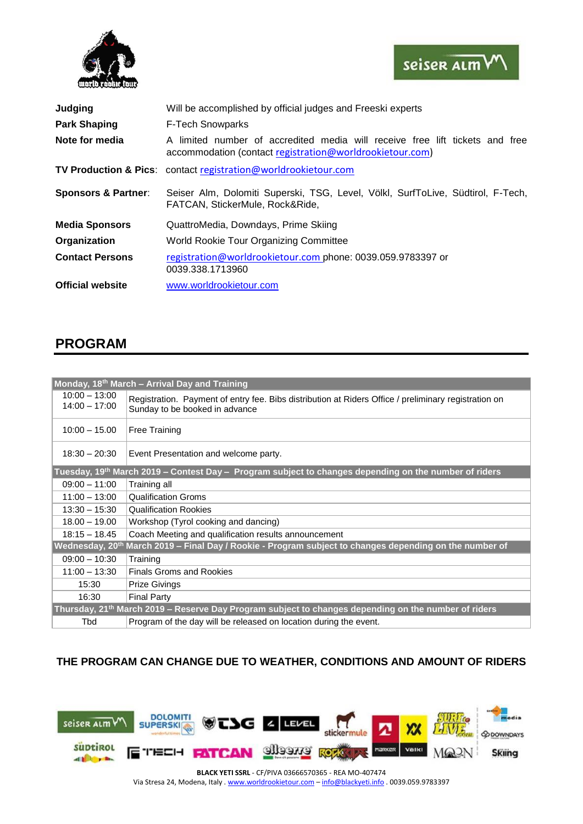



| Judging                        | Will be accomplished by official judges and Freeski experts                                                                              |
|--------------------------------|------------------------------------------------------------------------------------------------------------------------------------------|
| <b>Park Shaping</b>            | <b>F-Tech Snowparks</b>                                                                                                                  |
| Note for media                 | A limited number of accredited media will receive free lift tickets and free<br>accommodation (contact registration@worldrookietour.com) |
|                                | <b>TV Production &amp; Pics:</b> contact registration@worldrookietour.com                                                                |
| <b>Sponsors &amp; Partner:</b> | Seiser Alm, Dolomiti Superski, TSG, Level, Völkl, SurfToLive, Südtirol, F-Tech,<br>FATCAN, StickerMule, Rock&Ride,                       |
| <b>Media Sponsors</b>          | QuattroMedia, Downdays, Prime Skiing                                                                                                     |
| Organization                   | World Rookie Tour Organizing Committee                                                                                                   |
| <b>Contact Persons</b>         | registration@worldrookietour.com phone: 0039.059.9783397 or<br>0039.338.1713960                                                          |
| <b>Official website</b>        | www.worldrookietour.com                                                                                                                  |

## **PROGRAM**

| Monday, 18 <sup>th</sup> March – Arrival Day and Training                                                           |                                                                                                                                        |  |
|---------------------------------------------------------------------------------------------------------------------|----------------------------------------------------------------------------------------------------------------------------------------|--|
| $10:00 - 13:00$<br>$14:00 - 17:00$                                                                                  | Registration. Payment of entry fee. Bibs distribution at Riders Office / preliminary registration on<br>Sunday to be booked in advance |  |
| $10:00 - 15.00$                                                                                                     | <b>Free Training</b>                                                                                                                   |  |
| $18:30 - 20:30$                                                                                                     | Event Presentation and welcome party.                                                                                                  |  |
| Tuesday, 19 <sup>th</sup> March 2019 – Contest Day – Program subject to changes depending on the number of riders   |                                                                                                                                        |  |
| $09:00 - 11:00$                                                                                                     | Training all                                                                                                                           |  |
| $11:00 - 13:00$                                                                                                     | <b>Qualification Groms</b>                                                                                                             |  |
| $13:30 - 15:30$                                                                                                     | <b>Qualification Rookies</b>                                                                                                           |  |
| $18.00 - 19.00$                                                                                                     | Workshop (Tyrol cooking and dancing)                                                                                                   |  |
| $18:15 - 18.45$                                                                                                     | Coach Meeting and qualification results announcement                                                                                   |  |
| Wednesday, 20 <sup>th</sup> March 2019 – Final Day / Rookie - Program subject to changes depending on the number of |                                                                                                                                        |  |
| $09:00 - 10:30$                                                                                                     | Training                                                                                                                               |  |
| $11:00 - 13:30$                                                                                                     | <b>Finals Groms and Rookies</b>                                                                                                        |  |
| 15:30                                                                                                               | <b>Prize Givings</b>                                                                                                                   |  |
| 16:30                                                                                                               | <b>Final Party</b>                                                                                                                     |  |
| Thursday, 21 <sup>th</sup> March 2019 – Reserve Day Program subject to changes depending on the number of riders    |                                                                                                                                        |  |
| Tbd                                                                                                                 | Program of the day will be released on location during the event.                                                                      |  |

## **THE PROGRAM CAN CHANGE DUE TO WEATHER, CONDITIONS AND AMOUNT OF RIDERS**